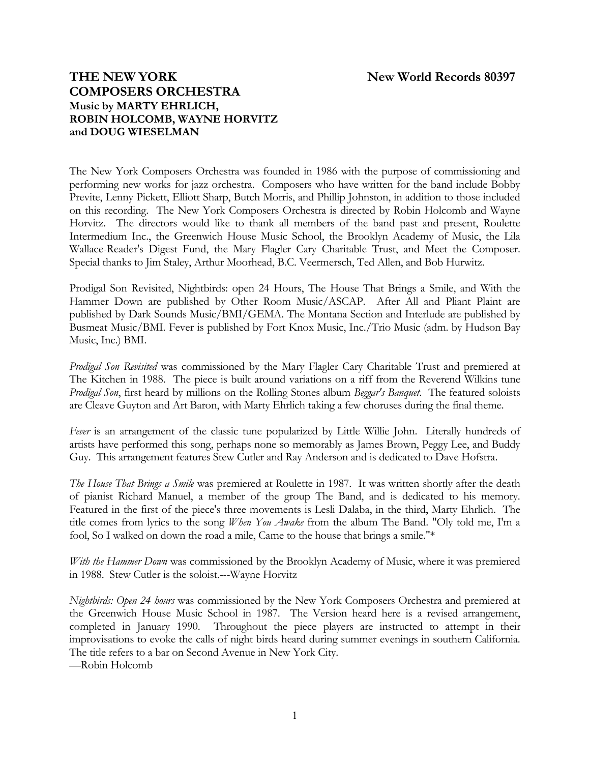# **THE NEW YORK New World Records 80397 COMPOSERS ORCHESTRA Music by MARTY EHRLICH, ROBIN HOLCOMB, WAYNE HORVITZ and DOUG WIESELMAN**

The New York Composers Orchestra was founded in 1986 with the purpose of commissioning and performing new works for jazz orchestra. Composers who have written for the band include Bobby Previte, Lenny Pickett, Elliott Sharp, Butch Morris, and Phillip Johnston, in addition to those included on this recording. The New York Composers Orchestra is directed by Robin Holcomb and Wayne Horvitz. The directors would like to thank all members of the band past and present, Roulette Intermedium Inc., the Greenwich House Music School, the Brooklyn Academy of Music, the Lila Wallace-Reader's Digest Fund, the Mary Flagler Cary Charitable Trust, and Meet the Composer. Special thanks to Jim Staley, Arthur Moorhead, B.C. Veermersch, Ted Allen, and Bob Hurwitz.

Prodigal Son Revisited, Nightbirds: open 24 Hours, The House That Brings a Smile, and With the Hammer Down are published by Other Room Music/ASCAP. After All and Pliant Plaint are published by Dark Sounds Music/BMI/GEMA. The Montana Section and Interlude are published by Busmeat Music/BMI. Fever is published by Fort Knox Music, Inc./Trio Music (adm. by Hudson Bay Music, Inc.) BMI.

*Prodigal Son Revisited* was commissioned by the Mary Flagler Cary Charitable Trust and premiered at The Kitchen in 1988. The piece is built around variations on a riff from the Reverend Wilkins tune *Prodigal Son*, first heard by millions on the Rolling Stones album *Beggar's Banquet*. The featured soloists are Cleave Guyton and Art Baron, with Marty Ehrlich taking a few choruses during the final theme.

*Fever* is an arrangement of the classic tune popularized by Little Willie John. Literally hundreds of artists have performed this song, perhaps none so memorably as James Brown, Peggy Lee, and Buddy Guy. This arrangement features Stew Cutler and Ray Anderson and is dedicated to Dave Hofstra.

*The House That Brings a Smile* was premiered at Roulette in 1987. It was written shortly after the death of pianist Richard Manuel, a member of the group The Band, and is dedicated to his memory. Featured in the first of the piece's three movements is Lesli Dalaba, in the third, Marty Ehrlich. The title comes from lyrics to the song *When You Awake* from the album The Band. "Oly told me, I'm a fool, So I walked on down the road a mile, Came to the house that brings a smile."\*

*With the Hammer Down* was commissioned by the Brooklyn Academy of Music, where it was premiered in 1988. Stew Cutler is the soloist.---Wayne Horvitz

*Nightbirds: Open 24 hours* was commissioned by the New York Composers Orchestra and premiered at the Greenwich House Music School in 1987. The Version heard here is a revised arrangement, completed in January 1990. Throughout the piece players are instructed to attempt in their improvisations to evoke the calls of night birds heard during summer evenings in southern California. The title refers to a bar on Second Avenue in New York City.

—Robin Holcomb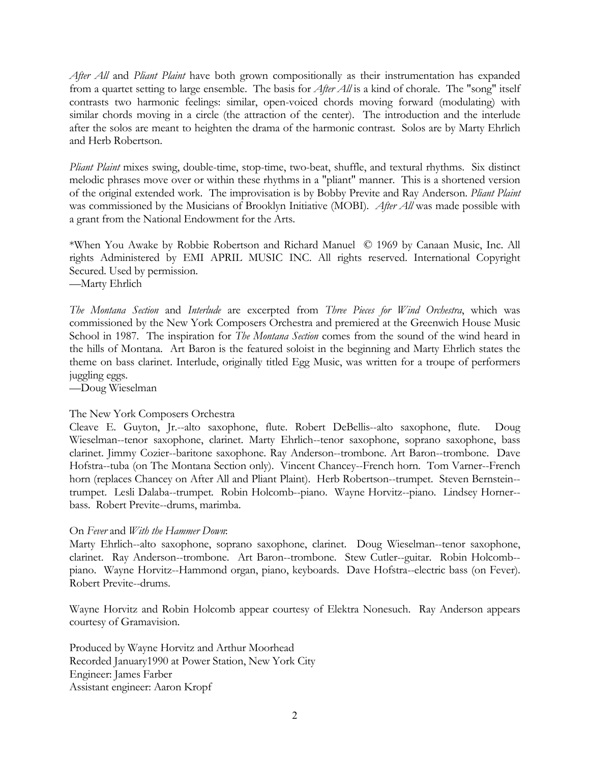*After All* and *Pliant Plaint* have both grown compositionally as their instrumentation has expanded from a quartet setting to large ensemble. The basis for *After All* is a kind of chorale. The "song" itself contrasts two harmonic feelings: similar, open-voiced chords moving forward (modulating) with similar chords moving in a circle (the attraction of the center). The introduction and the interlude after the solos are meant to heighten the drama of the harmonic contrast. Solos are by Marty Ehrlich and Herb Robertson.

*Pliant Plaint* mixes swing, double-time, stop-time, two-beat, shuffle, and textural rhythms. Six distinct melodic phrases move over or within these rhythms in a "pliant" manner. This is a shortened version of the original extended work. The improvisation is by Bobby Previte and Ray Anderson. *Pliant Plaint* was commissioned by the Musicians of Brooklyn Initiative (MOBI). *After All* was made possible with a grant from the National Endowment for the Arts.

\*When You Awake by Robbie Robertson and Richard Manuel © 1969 by Canaan Music, Inc. All rights Administered by EMI APRIL MUSIC INC. All rights reserved. International Copyright Secured. Used by permission. —Marty Ehrlich

*The Montana Section* and *Interlude* are excerpted from *Three Pieces for Wind Orchestra*, which was commissioned by the New York Composers Orchestra and premiered at the Greenwich House Music School in 1987. The inspiration for *The Montana Section* comes from the sound of the wind heard in the hills of Montana. Art Baron is the featured soloist in the beginning and Marty Ehrlich states the theme on bass clarinet. Interlude, originally titled Egg Music, was written for a troupe of performers juggling eggs.

—Doug Wieselman

#### The New York Composers Orchestra

Cleave E. Guyton, Jr.--alto saxophone, flute. Robert DeBellis--alto saxophone, flute. Doug Wieselman--tenor saxophone, clarinet. Marty Ehrlich--tenor saxophone, soprano saxophone, bass clarinet. Jimmy Cozier--baritone saxophone. Ray Anderson--trombone. Art Baron--trombone. Dave Hofstra--tuba (on The Montana Section only). Vincent Chancey--French horn. Tom Varner--French horn (replaces Chancey on After All and Pliant Plaint). Herb Robertson--trumpet. Steven Bernstein- trumpet. Lesli Dalaba--trumpet. Robin Holcomb--piano. Wayne Horvitz--piano. Lindsey Horner- bass. Robert Previte--drums, marimba.

#### On *Fever* and *With the Hammer Down*:

Marty Ehrlich--alto saxophone, soprano saxophone, clarinet. Doug Wieselman--tenor saxophone, clarinet. Ray Anderson--trombone. Art Baron--trombone. Stew Cutler--guitar. Robin Holcomb- piano. Wayne Horvitz--Hammond organ, piano, keyboards. Dave Hofstra--electric bass (on Fever). Robert Previte--drums.

Wayne Horvitz and Robin Holcomb appear courtesy of Elektra Nonesuch. Ray Anderson appears courtesy of Gramavision.

Produced by Wayne Horvitz and Arthur Moorhead Recorded January1990 at Power Station, New York City Engineer: James Farber Assistant engineer: Aaron Kropf